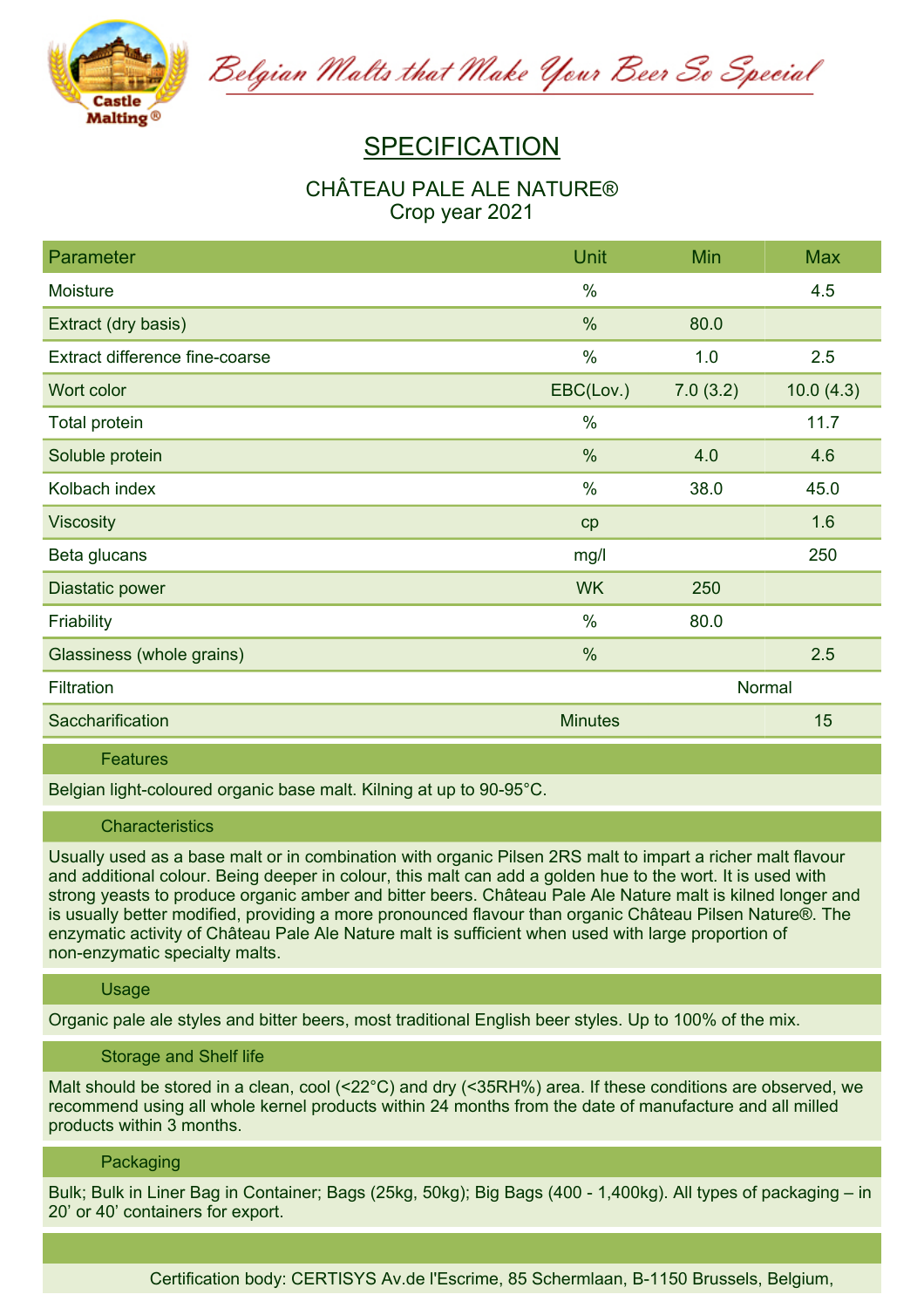

Belgian Malts that Make Your Beer So Special

# **SPECIFICATION**

# **CHÂTEAU PALE ALE NATURE® Crop year 2021**

| <b>Parameter</b>               | <b>Unit</b>    | Min      | <b>Max</b> |
|--------------------------------|----------------|----------|------------|
| Moisture                       | $\frac{0}{0}$  |          | 4.5        |
| Extract (dry basis)            | %              | 80.0     |            |
| Extract difference fine-coarse | $\frac{0}{0}$  | 1.0      | 2.5        |
| Wort color                     | EBC(Lov.)      | 7.0(3.2) | 10.0(4.3)  |
| <b>Total protein</b>           | $\frac{0}{0}$  |          | 11.7       |
| Soluble protein                | %              | 4.0      | 4.6        |
| Kolbach index                  | $\%$           | 38.0     | 45.0       |
| <b>Viscosity</b>               | cp             |          | 1.6        |
| Beta glucans                   | mg/l           |          | 250        |
| Diastatic power                | <b>WK</b>      | 250      |            |
| Friability                     | $\%$           | 80.0     |            |
| Glassiness (whole grains)      | $\%$           |          | 2.5        |
| Filtration                     |                |          | Normal     |
| Saccharification               | <b>Minutes</b> |          | 15         |

**Features**

**Belgian light-coloured organic base malt. Kilning at up to 90-95°C.**

#### **Characteristics**

Usually used as a base malt or in combination with organic Pilsen 2RS malt to impart a richer malt flavour and additional colour. Being deeper in colour, this malt can add a golden hue to the wort. It is used with strong yeasts to produce organic amber and bitter beers. Château Pale Ale Nature malt is kilned longer and **is usually better modified, providing a more pronounced flavour than organic Château Pilsen Nature®. The enzymatic activity of Château Pale Ale Nature malt is sufficient when used with large proportion of non-enzymatic specialty malts.**

### **Usage**

Organic pale ale styles and bitter beers, most traditional English beer styles. Up to 100% of the mix.

### **Storage and Shelf life**

Malt should be stored in a clean, cool (<22°C) and dry (<35RH%) area. If these conditions are observed, we **recommend using all whole kernel products within 24 months from the date of manufacture and all milled products within 3 months.**

## **Packaging**

Bulk; Bulk in Liner Bag in Container; Bags (25kg, 50kg); Big Bags (400 - 1,400kg). All types of packaging – in **20' or 40' containers for export.**